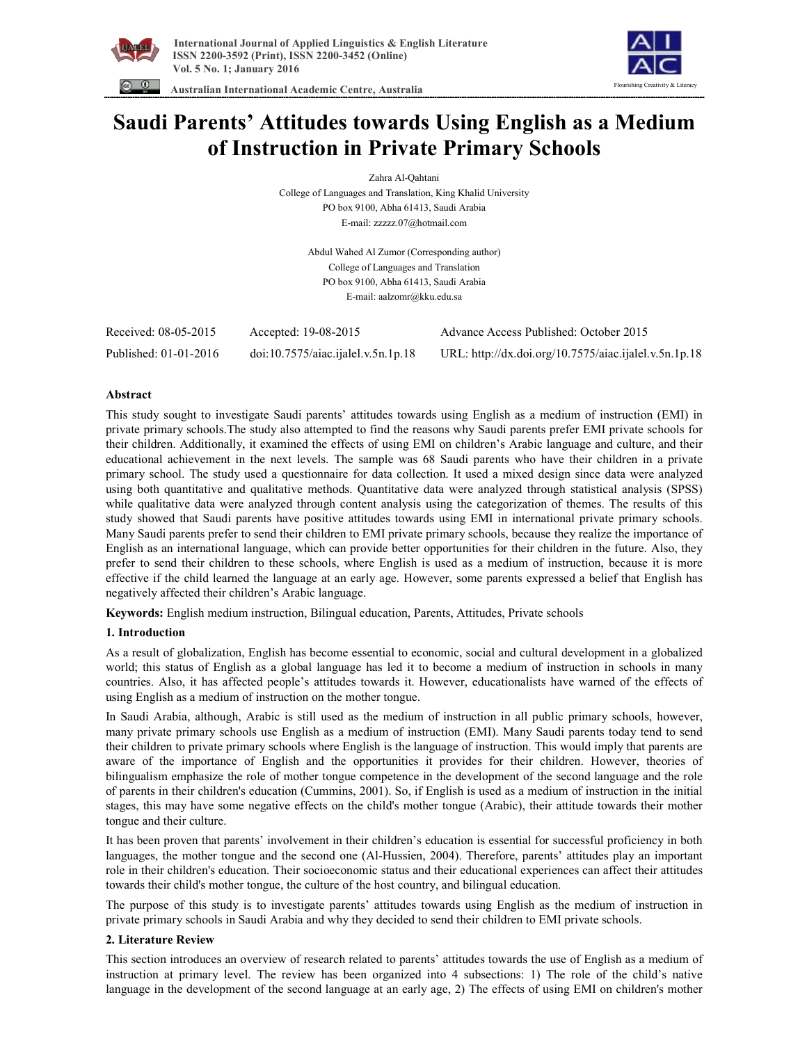



 **Australian International Academic Centre, Australia** 

# **Saudi Parents' Attitudes towards Using English as a Medium of Instruction in Private Primary Schools**

Zahra Al-Qahtani

College of Languages and Translation, King Khalid University PO box 9100, Abha 61413, Saudi Arabia E-mail: zzzzz.07@hotmail.com

> Abdul Wahed Al Zumor (Corresponding author) College of Languages and Translation PO box 9100, Abha 61413, Saudi Arabia E-mail: aalzomr@kku.edu.sa

| Received: 08-05-2015  | Accepted: 19-08-2015               | Advance Access Published: October 2015                |
|-----------------------|------------------------------------|-------------------------------------------------------|
| Published: 01-01-2016 | doi:10.7575/aiac.ijalel.v.5n.1p.18 | URL: http://dx.doi.org/10.7575/aiac.ijalel.v.5n.1p.18 |

# **Abstract**

This study sought to investigate Saudi parents' attitudes towards using English as a medium of instruction (EMI) in private primary schools.The study also attempted to find the reasons why Saudi parents prefer EMI private schools for their children. Additionally, it examined the effects of using EMI on children's Arabic language and culture, and their educational achievement in the next levels. The sample was 68 Saudi parents who have their children in a private primary school. The study used a questionnaire for data collection. It used a mixed design since data were analyzed using both quantitative and qualitative methods. Quantitative data were analyzed through statistical analysis (SPSS) while qualitative data were analyzed through content analysis using the categorization of themes. The results of this study showed that Saudi parents have positive attitudes towards using EMI in international private primary schools. Many Saudi parents prefer to send their children to EMI private primary schools, because they realize the importance of English as an international language, which can provide better opportunities for their children in the future. Also, they prefer to send their children to these schools, where English is used as a medium of instruction, because it is more effective if the child learned the language at an early age. However, some parents expressed a belief that English has negatively affected their children's Arabic language.

**Keywords:** English medium instruction, Bilingual education, Parents, Attitudes, Private schools

# **1. Introduction**

As a result of globalization, English has become essential to economic, social and cultural development in a globalized world; this status of English as a global language has led it to become a medium of instruction in schools in many countries. Also, it has affected people's attitudes towards it. However, educationalists have warned of the effects of using English as a medium of instruction on the mother tongue.

In Saudi Arabia, although, Arabic is still used as the medium of instruction in all public primary schools, however, many private primary schools use English as a medium of instruction (EMI). Many Saudi parents today tend to send their children to private primary schools where English is the language of instruction. This would imply that parents are aware of the importance of English and the opportunities it provides for their children. However, theories of bilingualism emphasize the role of mother tongue competence in the development of the second language and the role of parents in their children's education (Cummins, 2001). So, if English is used as a medium of instruction in the initial stages, this may have some negative effects on the child's mother tongue (Arabic), their attitude towards their mother tongue and their culture.

It has been proven that parents' involvement in their children's education is essential for successful proficiency in both languages, the mother tongue and the second one (Al-Hussien, 2004). Therefore, parents' attitudes play an important role in their children's education. Their socioeconomic status and their educational experiences can affect their attitudes towards their child's mother tongue, the culture of the host country, and bilingual education.

The purpose of this study is to investigate parents' attitudes towards using English as the medium of instruction in private primary schools in Saudi Arabia and why they decided to send their children to EMI private schools.

# **2. Literature Review**

This section introduces an overview of research related to parents' attitudes towards the use of English as a medium of instruction at primary level. The review has been organized into 4 subsections: 1) The role of the child's native language in the development of the second language at an early age, 2) The effects of using EMI on children's mother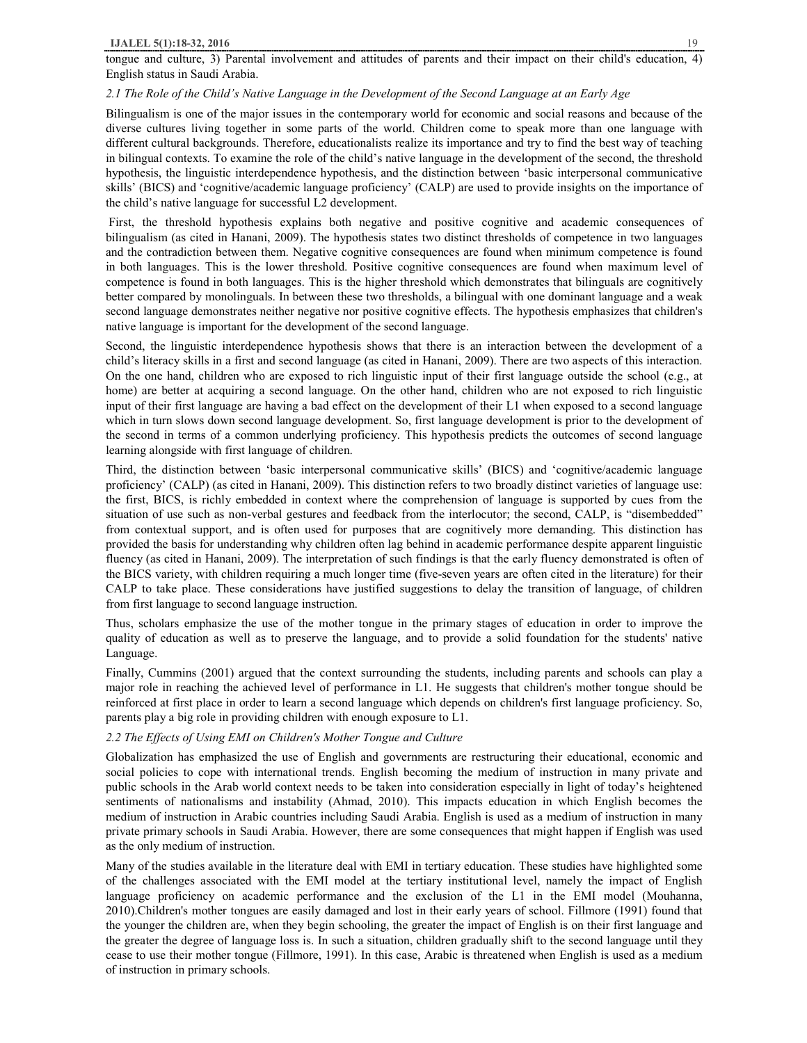tongue and culture, 3) Parental involvement and attitudes of parents and their impact on their child's education, 4) English status in Saudi Arabia.

#### *2.1 The Role of the Child's Native Language in the Development of the Second Language at an Early Age*

Bilingualism is one of the major issues in the contemporary world for economic and social reasons and because of the diverse cultures living together in some parts of the world. Children come to speak more than one language with different cultural backgrounds. Therefore, educationalists realize its importance and try to find the best way of teaching in bilingual contexts. To examine the role of the child's native language in the development of the second, the threshold hypothesis, the linguistic interdependence hypothesis, and the distinction between 'basic interpersonal communicative skills' (BICS) and 'cognitive/academic language proficiency' (CALP) are used to provide insights on the importance of the child's native language for successful L2 development.

 First, the threshold hypothesis explains both negative and positive cognitive and academic consequences of bilingualism (as cited in Hanani, 2009). The hypothesis states two distinct thresholds of competence in two languages and the contradiction between them. Negative cognitive consequences are found when minimum competence is found in both languages. This is the lower threshold. Positive cognitive consequences are found when maximum level of competence is found in both languages. This is the higher threshold which demonstrates that bilinguals are cognitively better compared by monolinguals. In between these two thresholds, a bilingual with one dominant language and a weak second language demonstrates neither negative nor positive cognitive effects. The hypothesis emphasizes that children's native language is important for the development of the second language.

Second, the linguistic interdependence hypothesis shows that there is an interaction between the development of a child's literacy skills in a first and second language (as cited in Hanani, 2009). There are two aspects of this interaction. On the one hand, children who are exposed to rich linguistic input of their first language outside the school (e.g., at home) are better at acquiring a second language. On the other hand, children who are not exposed to rich linguistic input of their first language are having a bad effect on the development of their L1 when exposed to a second language which in turn slows down second language development. So, first language development is prior to the development of the second in terms of a common underlying proficiency. This hypothesis predicts the outcomes of second language learning alongside with first language of children.

Third, the distinction between 'basic interpersonal communicative skills' (BICS) and 'cognitive/academic language proficiency' (CALP) (as cited in Hanani, 2009). This distinction refers to two broadly distinct varieties of language use: the first, BICS, is richly embedded in context where the comprehension of language is supported by cues from the situation of use such as non-verbal gestures and feedback from the interlocutor; the second, CALP, is "disembedded" from contextual support, and is often used for purposes that are cognitively more demanding. This distinction has provided the basis for understanding why children often lag behind in academic performance despite apparent linguistic fluency (as cited in Hanani, 2009). The interpretation of such findings is that the early fluency demonstrated is often of the BICS variety, with children requiring a much longer time (five-seven years are often cited in the literature) for their CALP to take place. These considerations have justified suggestions to delay the transition of language, of children from first language to second language instruction.

Thus, scholars emphasize the use of the mother tongue in the primary stages of education in order to improve the quality of education as well as to preserve the language, and to provide a solid foundation for the students' native Language.

Finally, Cummins (2001) argued that the context surrounding the students, including parents and schools can play a major role in reaching the achieved level of performance in L1. He suggests that children's mother tongue should be reinforced at first place in order to learn a second language which depends on children's first language proficiency. So, parents play a big role in providing children with enough exposure to L1.

# *2.2 The Effects of Using EMI on Children's Mother Tongue and Culture*

Globalization has emphasized the use of English and governments are restructuring their educational, economic and social policies to cope with international trends. English becoming the medium of instruction in many private and public schools in the Arab world context needs to be taken into consideration especially in light of today's heightened sentiments of nationalisms and instability (Ahmad, 2010). This impacts education in which English becomes the medium of instruction in Arabic countries including Saudi Arabia. English is used as a medium of instruction in many private primary schools in Saudi Arabia. However, there are some consequences that might happen if English was used as the only medium of instruction.

Many of the studies available in the literature deal with EMI in tertiary education. These studies have highlighted some of the challenges associated with the EMI model at the tertiary institutional level, namely the impact of English language proficiency on academic performance and the exclusion of the L1 in the EMI model (Mouhanna, 2010).Children's mother tongues are easily damaged and lost in their early years of school. Fillmore (1991) found that the younger the children are, when they begin schooling, the greater the impact of English is on their first language and the greater the degree of language loss is. In such a situation, children gradually shift to the second language until they cease to use their mother tongue (Fillmore, 1991). In this case, Arabic is threatened when English is used as a medium of instruction in primary schools.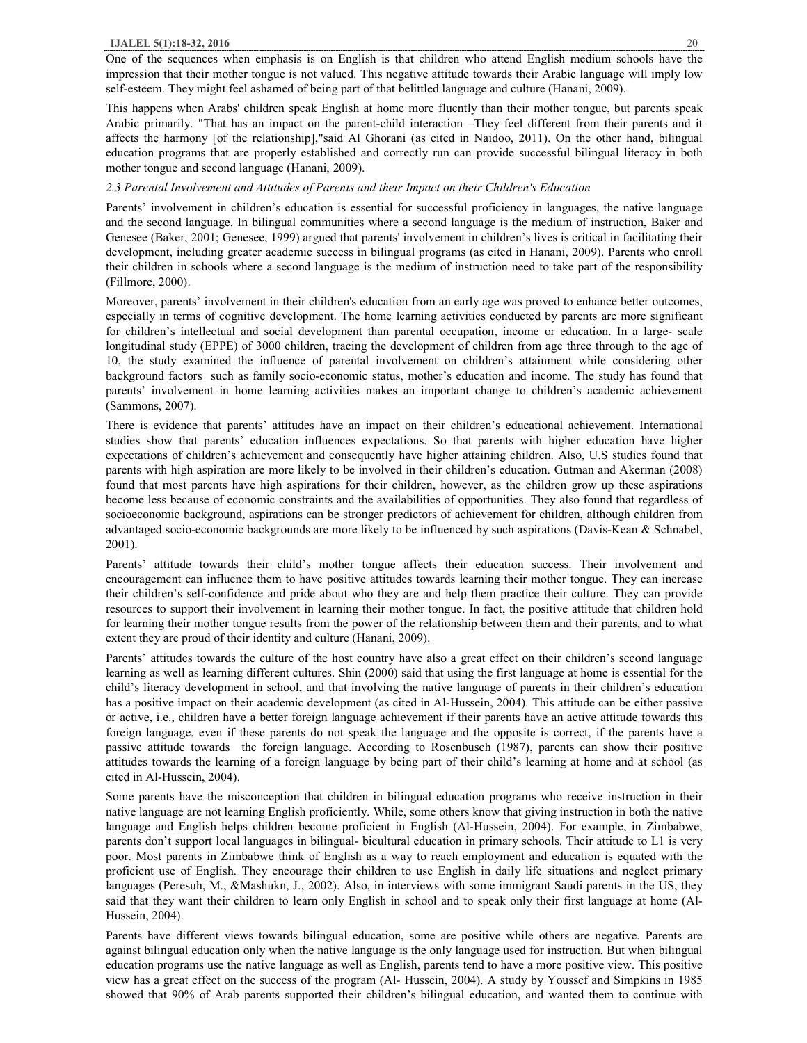One of the sequences when emphasis is on English is that children who attend English medium schools have the impression that their mother tongue is not valued. This negative attitude towards their Arabic language will imply low self-esteem. They might feel ashamed of being part of that belittled language and culture (Hanani, 2009).

This happens when Arabs' children speak English at home more fluently than their mother tongue, but parents speak Arabic primarily. "That has an impact on the parent-child interaction –They feel different from their parents and it affects the harmony [of the relationship],"said Al Ghorani (as cited in Naidoo, 2011). On the other hand, bilingual education programs that are properly established and correctly run can provide successful bilingual literacy in both mother tongue and second language (Hanani, 2009).

## *2.3 Parental Involvement and Attitudes of Parents and their Impact on their Children's Education*

Parents' involvement in children's education is essential for successful proficiency in languages, the native language and the second language. In bilingual communities where a second language is the medium of instruction, Baker and Genesee (Baker, 2001; Genesee, 1999) argued that parents' involvement in children's lives is critical in facilitating their development, including greater academic success in bilingual programs (as cited in Hanani, 2009). Parents who enroll their children in schools where a second language is the medium of instruction need to take part of the responsibility (Fillmore, 2000).

Moreover, parents' involvement in their children's education from an early age was proved to enhance better outcomes, especially in terms of cognitive development. The home learning activities conducted by parents are more significant for children's intellectual and social development than parental occupation, income or education. In a large- scale longitudinal study (EPPE) of 3000 children, tracing the development of children from age three through to the age of 10, the study examined the influence of parental involvement on children's attainment while considering other background factors such as family socio-economic status, mother's education and income. The study has found that parents' involvement in home learning activities makes an important change to children's academic achievement (Sammons, 2007).

There is evidence that parents' attitudes have an impact on their children's educational achievement. International studies show that parents' education influences expectations. So that parents with higher education have higher expectations of children's achievement and consequently have higher attaining children. Also, U.S studies found that parents with high aspiration are more likely to be involved in their children's education. Gutman and Akerman (2008) found that most parents have high aspirations for their children, however, as the children grow up these aspirations become less because of economic constraints and the availabilities of opportunities. They also found that regardless of socioeconomic background, aspirations can be stronger predictors of achievement for children, although children from advantaged socio-economic backgrounds are more likely to be influenced by such aspirations (Davis-Kean & Schnabel, 2001).

Parents' attitude towards their child's mother tongue affects their education success. Their involvement and encouragement can influence them to have positive attitudes towards learning their mother tongue. They can increase their children's self-confidence and pride about who they are and help them practice their culture. They can provide resources to support their involvement in learning their mother tongue. In fact, the positive attitude that children hold for learning their mother tongue results from the power of the relationship between them and their parents, and to what extent they are proud of their identity and culture (Hanani, 2009).

Parents' attitudes towards the culture of the host country have also a great effect on their children's second language learning as well as learning different cultures. Shin (2000) said that using the first language at home is essential for the child's literacy development in school, and that involving the native language of parents in their children's education has a positive impact on their academic development (as cited in Al-Hussein, 2004). This attitude can be either passive or active, i.e., children have a better foreign language achievement if their parents have an active attitude towards this foreign language, even if these parents do not speak the language and the opposite is correct, if the parents have a passive attitude towards the foreign language. According to Rosenbusch (1987), parents can show their positive attitudes towards the learning of a foreign language by being part of their child's learning at home and at school (as cited in Al-Hussein, 2004).

Some parents have the misconception that children in bilingual education programs who receive instruction in their native language are not learning English proficiently. While, some others know that giving instruction in both the native language and English helps children become proficient in English (Al-Hussein, 2004). For example, in Zimbabwe, parents don't support local languages in bilingual- bicultural education in primary schools. Their attitude to L1 is very poor. Most parents in Zimbabwe think of English as a way to reach employment and education is equated with the proficient use of English. They encourage their children to use English in daily life situations and neglect primary languages (Peresuh, M., &Mashukn, J., 2002). Also, in interviews with some immigrant Saudi parents in the US, they said that they want their children to learn only English in school and to speak only their first language at home (Al-Hussein, 2004).

Parents have different views towards bilingual education, some are positive while others are negative. Parents are against bilingual education only when the native language is the only language used for instruction. But when bilingual education programs use the native language as well as English, parents tend to have a more positive view. This positive view has a great effect on the success of the program (Al- Hussein, 2004). A study by Youssef and Simpkins in 1985 showed that 90% of Arab parents supported their children's bilingual education, and wanted them to continue with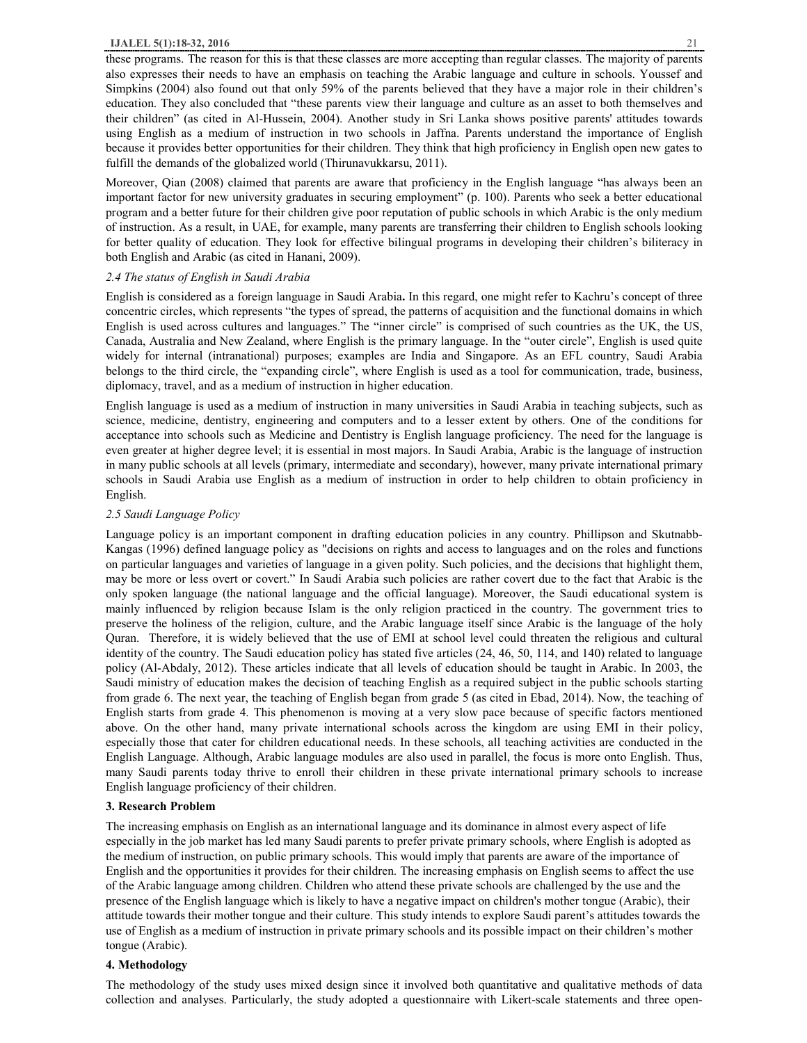these programs. The reason for this is that these classes are more accepting than regular classes. The majority of parents also expresses their needs to have an emphasis on teaching the Arabic language and culture in schools. Youssef and Simpkins (2004) also found out that only 59% of the parents believed that they have a major role in their children's education. They also concluded that "these parents view their language and culture as an asset to both themselves and their children" (as cited in Al-Hussein, 2004). Another study in Sri Lanka shows positive parents' attitudes towards using English as a medium of instruction in two schools in Jaffna. Parents understand the importance of English because it provides better opportunities for their children. They think that high proficiency in English open new gates to fulfill the demands of the globalized world (Thirunavukkarsu, 2011).

Moreover, Qian (2008) claimed that parents are aware that proficiency in the English language "has always been an important factor for new university graduates in securing employment" (p. 100). Parents who seek a better educational program and a better future for their children give poor reputation of public schools in which Arabic is the only medium of instruction. As a result, in UAE, for example, many parents are transferring their children to English schools looking for better quality of education. They look for effective bilingual programs in developing their children's biliteracy in both English and Arabic (as cited in Hanani, 2009).

## *2.4 The status of English in Saudi Arabia*

English is considered as a foreign language in Saudi Arabia**.** In this regard, one might refer to Kachru's concept of three concentric circles, which represents "the types of spread, the patterns of acquisition and the functional domains in which English is used across cultures and languages." The "inner circle" is comprised of such countries as the UK, the US, Canada, Australia and New Zealand, where English is the primary language. In the "outer circle", English is used quite widely for internal (intranational) purposes; examples are India and Singapore. As an EFL country, Saudi Arabia belongs to the third circle, the "expanding circle", where English is used as a tool for communication, trade, business, diplomacy, travel, and as a medium of instruction in higher education.

English language is used as a medium of instruction in many universities in Saudi Arabia in teaching subjects, such as science, medicine, dentistry, engineering and computers and to a lesser extent by others. One of the conditions for acceptance into schools such as Medicine and Dentistry is English language proficiency. The need for the language is even greater at higher degree level; it is essential in most majors. In Saudi Arabia, Arabic is the language of instruction in many public schools at all levels (primary, intermediate and secondary), however, many private international primary schools in Saudi Arabia use English as a medium of instruction in order to help children to obtain proficiency in English.

## *2.5 Saudi Language Policy*

Language policy is an important component in drafting education policies in any country. Phillipson and Skutnabb-Kangas (1996) defined language policy as "decisions on rights and access to languages and on the roles and functions on particular languages and varieties of language in a given polity. Such policies, and the decisions that highlight them, may be more or less overt or covert." In Saudi Arabia such policies are rather covert due to the fact that Arabic is the only spoken language (the national language and the official language). Moreover, the Saudi educational system is mainly influenced by religion because Islam is the only religion practiced in the country. The government tries to preserve the holiness of the religion, culture, and the Arabic language itself since Arabic is the language of the holy Quran. Therefore, it is widely believed that the use of EMI at school level could threaten the religious and cultural identity of the country. The Saudi education policy has stated five articles (24, 46, 50, 114, and 140) related to language policy (Al-Abdaly, 2012). These articles indicate that all levels of education should be taught in Arabic. In 2003, the Saudi ministry of education makes the decision of teaching English as a required subject in the public schools starting from grade 6. The next year, the teaching of English began from grade 5 (as cited in Ebad, 2014). Now, the teaching of English starts from grade 4. This phenomenon is moving at a very slow pace because of specific factors mentioned above. On the other hand, many private international schools across the kingdom are using EMI in their policy, especially those that cater for children educational needs. In these schools, all teaching activities are conducted in the English Language. Although, Arabic language modules are also used in parallel, the focus is more onto English. Thus, many Saudi parents today thrive to enroll their children in these private international primary schools to increase English language proficiency of their children.

# **3. Research Problem**

The increasing emphasis on English as an international language and its dominance in almost every aspect of life especially in the job market has led many Saudi parents to prefer private primary schools, where English is adopted as the medium of instruction, on public primary schools. This would imply that parents are aware of the importance of English and the opportunities it provides for their children. The increasing emphasis on English seems to affect the use of the Arabic language among children. Children who attend these private schools are challenged by the use and the presence of the English language which is likely to have a negative impact on children's mother tongue (Arabic), their attitude towards their mother tongue and their culture. This study intends to explore Saudi parent's attitudes towards the use of English as a medium of instruction in private primary schools and its possible impact on their children's mother tongue (Arabic).

#### **4. Methodology**

The methodology of the study uses mixed design since it involved both quantitative and qualitative methods of data collection and analyses. Particularly, the study adopted a questionnaire with Likert-scale statements and three open-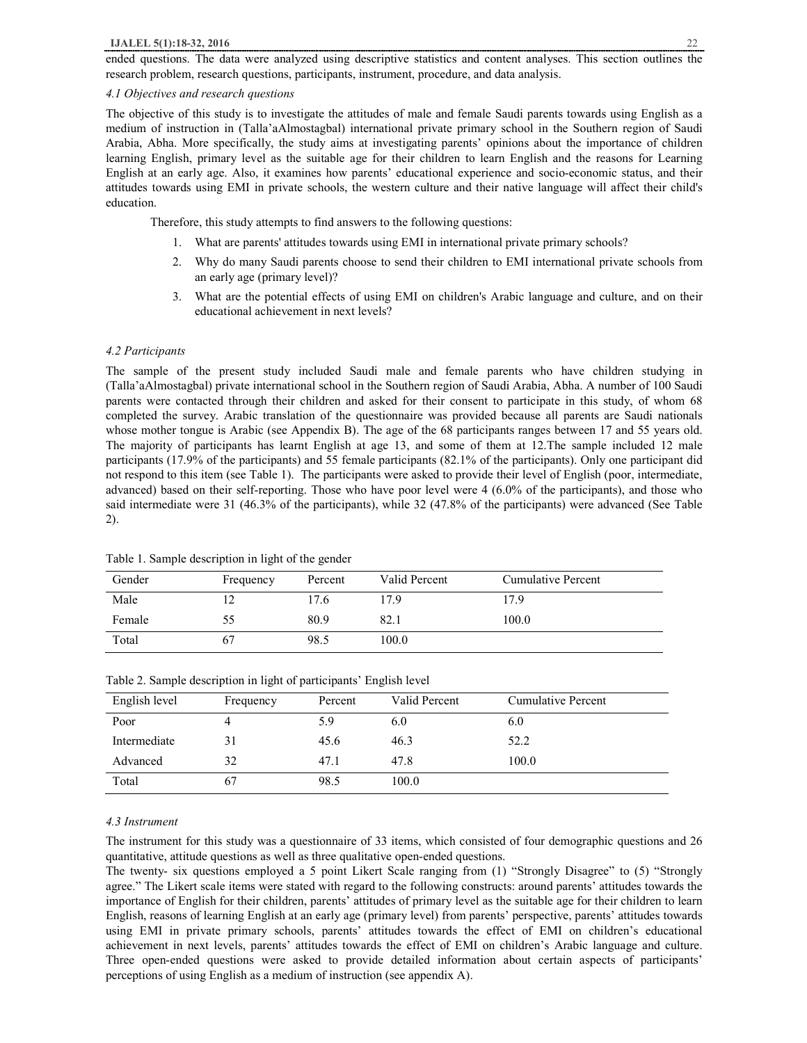ended questions. The data were analyzed using descriptive statistics and content analyses. This section outlines the research problem, research questions, participants, instrument, procedure, and data analysis.

## *4.1 Objectives and research questions*

The objective of this study is to investigate the attitudes of male and female Saudi parents towards using English as a medium of instruction in (Talla'aAlmostagbal) international private primary school in the Southern region of Saudi Arabia, Abha. More specifically, the study aims at investigating parents' opinions about the importance of children learning English, primary level as the suitable age for their children to learn English and the reasons for Learning English at an early age. Also, it examines how parents' educational experience and socio-economic status, and their attitudes towards using EMI in private schools, the western culture and their native language will affect their child's education.

Therefore, this study attempts to find answers to the following questions:

- 1. What are parents' attitudes towards using EMI in international private primary schools?
- 2. Why do many Saudi parents choose to send their children to EMI international private schools from an early age (primary level)?
- 3. What are the potential effects of using EMI on children's Arabic language and culture, and on their educational achievement in next levels?

#### *4.2 Participants*

The sample of the present study included Saudi male and female parents who have children studying in (Talla'aAlmostagbal) private international school in the Southern region of Saudi Arabia, Abha. A number of 100 Saudi parents were contacted through their children and asked for their consent to participate in this study, of whom 68 completed the survey. Arabic translation of the questionnaire was provided because all parents are Saudi nationals whose mother tongue is Arabic (see Appendix B). The age of the 68 participants ranges between 17 and 55 years old. The majority of participants has learnt English at age 13, and some of them at 12.The sample included 12 male participants (17.9% of the participants) and 55 female participants (82.1% of the participants). Only one participant did not respond to this item (see Table 1). The participants were asked to provide their level of English (poor, intermediate, advanced) based on their self-reporting. Those who have poor level were 4 (6.0% of the participants), and those who said intermediate were 31 (46.3% of the participants), while 32 (47.8% of the participants) were advanced (See Table 2).

| Gender | Frequency | Percent | Valid Percent | <b>Cumulative Percent</b> |
|--------|-----------|---------|---------------|---------------------------|
| Male   |           | 17.6    | 17.9          | 17.9                      |
| Female | 55        | 80.9    | 82.1          | 100.0                     |
| Total  | 67        | 98.5    | 100.0         |                           |

Table 1. Sample description in light of the gender

| Table 2. Bample description in right of participants English fever |           |         |               |                    |  |  |  |
|--------------------------------------------------------------------|-----------|---------|---------------|--------------------|--|--|--|
| English level                                                      | Frequency | Percent | Valid Percent | Cumulative Percent |  |  |  |
| Poor                                                               |           | 5.9     | 6.0           | 6.0                |  |  |  |
| Intermediate                                                       | 31        | 45.6    | 46.3          | 52.2               |  |  |  |
| Advanced                                                           | 32        | 47.1    | 47.8          | 100.0              |  |  |  |
| Total                                                              | $\sigma$  | 98.5    | 100.0         |                    |  |  |  |

Table 2. Sample description in light of participants' English level

#### *4.3 Instrument*

The instrument for this study was a questionnaire of 33 items, which consisted of four demographic questions and 26 quantitative, attitude questions as well as three qualitative open-ended questions.

The twenty- six questions employed a 5 point Likert Scale ranging from (1) "Strongly Disagree" to (5) "Strongly agree." The Likert scale items were stated with regard to the following constructs: around parents' attitudes towards the importance of English for their children, parents' attitudes of primary level as the suitable age for their children to learn English, reasons of learning English at an early age (primary level) from parents' perspective, parents' attitudes towards using EMI in private primary schools, parents' attitudes towards the effect of EMI on children's educational achievement in next levels, parents' attitudes towards the effect of EMI on children's Arabic language and culture. Three open-ended questions were asked to provide detailed information about certain aspects of participants' perceptions of using English as a medium of instruction (see appendix A).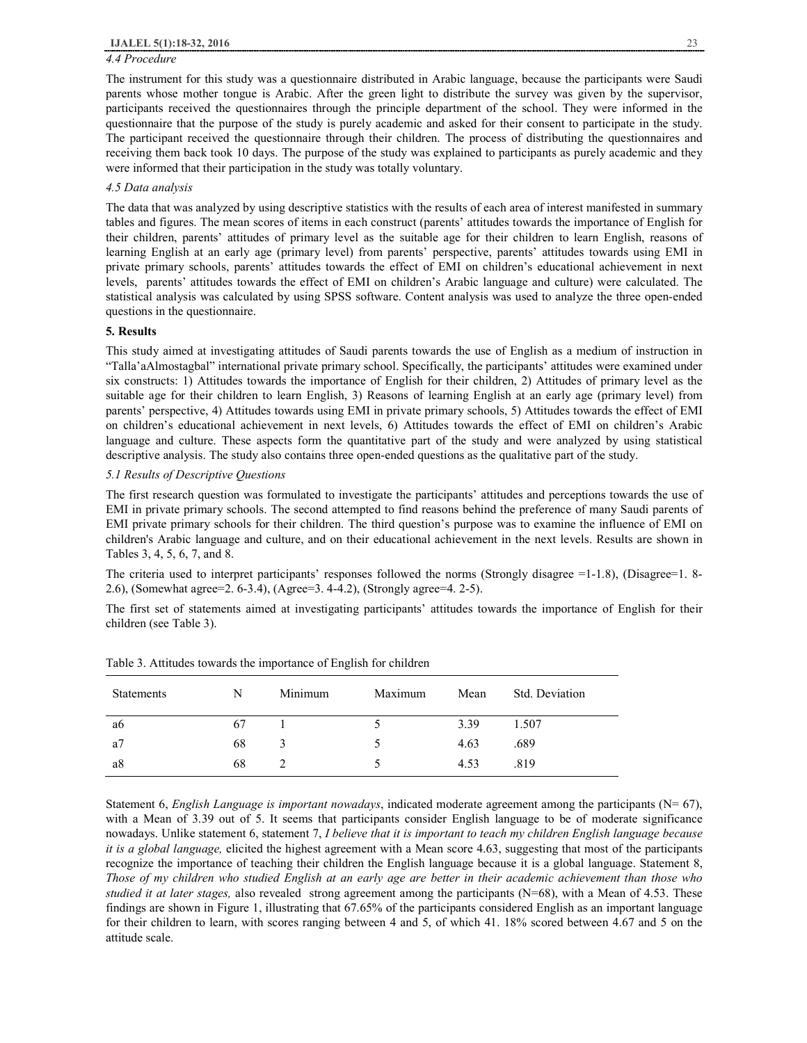# *4.4 Procedure*

The instrument for this study was a questionnaire distributed in Arabic language, because the participants were Saudi parents whose mother tongue is Arabic. After the green light to distribute the survey was given by the supervisor, participants received the questionnaires through the principle department of the school. They were informed in the questionnaire that the purpose of the study is purely academic and asked for their consent to participate in the study. The participant received the questionnaire through their children. The process of distributing the questionnaires and receiving them back took 10 days. The purpose of the study was explained to participants as purely academic and they were informed that their participation in the study was totally voluntary.

## *4.5 Data analysis*

The data that was analyzed by using descriptive statistics with the results of each area of interest manifested in summary tables and figures. The mean scores of items in each construct (parents' attitudes towards the importance of English for their children, parents' attitudes of primary level as the suitable age for their children to learn English, reasons of learning English at an early age (primary level) from parents' perspective, parents' attitudes towards using EMI in private primary schools, parents' attitudes towards the effect of EMI on children's educational achievement in next levels, parents' attitudes towards the effect of EMI on children's Arabic language and culture) were calculated. The statistical analysis was calculated by using SPSS software. Content analysis was used to analyze the three open-ended questions in the questionnaire.

## **5. Results**

This study aimed at investigating attitudes of Saudi parents towards the use of English as a medium of instruction in "Talla'aAlmostagbal" international private primary school. Specifically, the participants' attitudes were examined under six constructs: 1) Attitudes towards the importance of English for their children, 2) Attitudes of primary level as the suitable age for their children to learn English, 3) Reasons of learning English at an early age (primary level) from parents' perspective, 4) Attitudes towards using EMI in private primary schools, 5) Attitudes towards the effect of EMI on children's educational achievement in next levels, 6) Attitudes towards the effect of EMI on children's Arabic language and culture. These aspects form the quantitative part of the study and were analyzed by using statistical descriptive analysis. The study also contains three open-ended questions as the qualitative part of the study.

## *5.1 Results of Descriptive Questions*

The first research question was formulated to investigate the participants' attitudes and perceptions towards the use of EMI in private primary schools. The second attempted to find reasons behind the preference of many Saudi parents of EMI private primary schools for their children. The third question's purpose was to examine the influence of EMI on children's Arabic language and culture, and on their educational achievement in the next levels. Results are shown in Tables 3, 4, 5, 6, 7, and 8.

The criteria used to interpret participants' responses followed the norms (Strongly disagree  $=1-1.8$ ), (Disagree  $=1.8-1$ 2.6), (Somewhat agree=2. 6-3.4), (Agree=3. 4-4.2), (Strongly agree=4. 2-5).

The first set of statements aimed at investigating participants' attitudes towards the importance of English for their children (see Table 3).

| <b>Statements</b> | N  | Minimum | Maximum | Mean | Std. Deviation |
|-------------------|----|---------|---------|------|----------------|
| a6                | 67 |         |         | 3.39 | 1.507          |
| a <sub>7</sub>    | 68 | 3       |         | 4.63 | .689           |
| a8                | 68 |         |         | 4.53 | .819           |

Table 3. Attitudes towards the importance of English for children

Statement 6, *English Language is important nowadays*, indicated moderate agreement among the participants (N= 67), with a Mean of 3.39 out of 5. It seems that participants consider English language to be of moderate significance nowadays. Unlike statement 6, statement 7, *I believe that it is important to teach my children English language because it is a global language,* elicited the highest agreement with a Mean score 4.63, suggesting that most of the participants recognize the importance of teaching their children the English language because it is a global language. Statement 8, Those of my children who studied English at an early age are better in their academic achievement than those who *studied it at later stages,* also revealed strong agreement among the participants (N=68), with a Mean of 4.53. These findings are shown in Figure 1, illustrating that 67.65% of the participants considered English as an important language for their children to learn, with scores ranging between 4 and 5, of which 41. 18% scored between 4.67 and 5 on the attitude scale.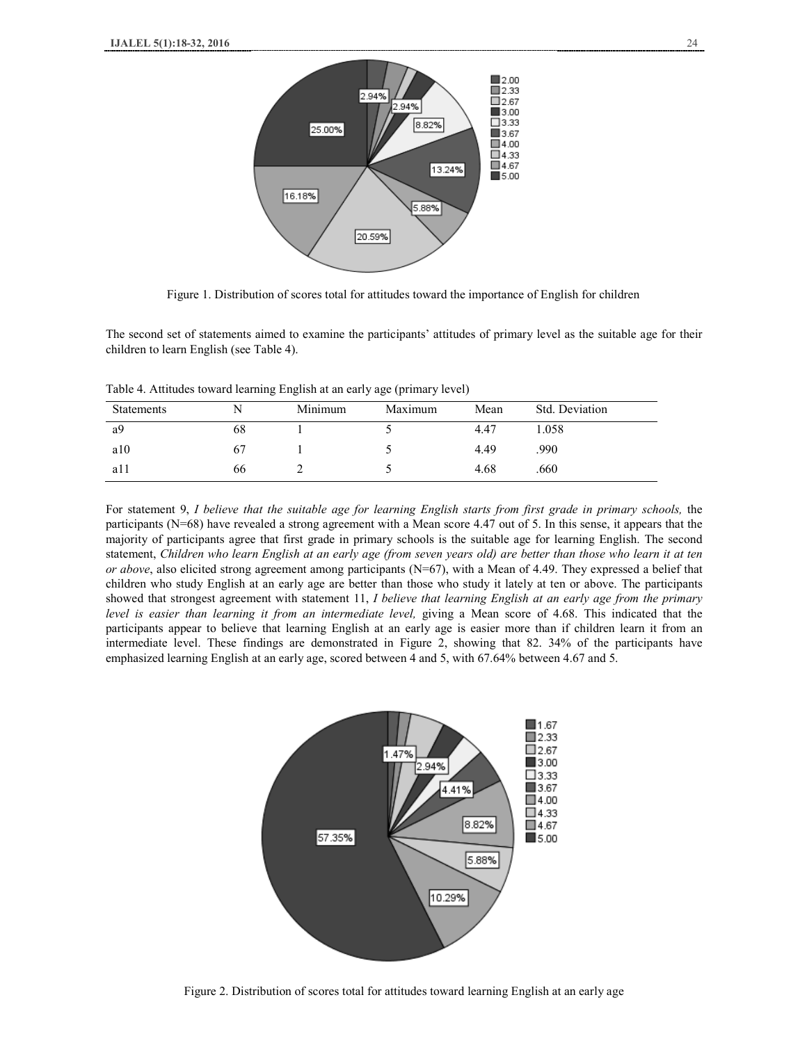

Figure 1. Distribution of scores total for attitudes toward the importance of English for children

The second set of statements aimed to examine the participants' attitudes of primary level as the suitable age for their children to learn English (see Table 4).

Table 4. Attitudes toward learning English at an early age (primary level)

| <b>Statements</b> |    | Minimum | Maximum | Mean | Std. Deviation |
|-------------------|----|---------|---------|------|----------------|
| a9                | 68 |         |         | 4.47 | 1.058          |
| a10               | 67 |         |         | 4.49 | .990           |
| a11               | 66 |         |         | 4.68 | .660           |

For statement 9, I believe that the suitable age for learning English starts from first grade in primary schools, the participants (N=68) have revealed a strong agreement with a Mean score 4.47 out of 5. In this sense, it appears that the majority of participants agree that first grade in primary schools is the suitable age for learning English. The second statement, Children who learn English at an early age (from seven years old) are better than those who learn it at ten *or above*, also elicited strong agreement among participants (N=67), with a Mean of 4.49. They expressed a belief that children who study English at an early age are better than those who study it lately at ten or above. The participants showed that strongest agreement with statement 11, *I believe that learning English at an early age from the primary level is easier than learning it from an intermediate level,* giving a Mean score of 4.68. This indicated that the participants appear to believe that learning English at an early age is easier more than if children learn it from an intermediate level. These findings are demonstrated in Figure 2, showing that 82. 34% of the participants have emphasized learning English at an early age, scored between 4 and 5, with 67.64% between 4.67 and 5.



Figure 2. Distribution of scores total for attitudes toward learning English at an early age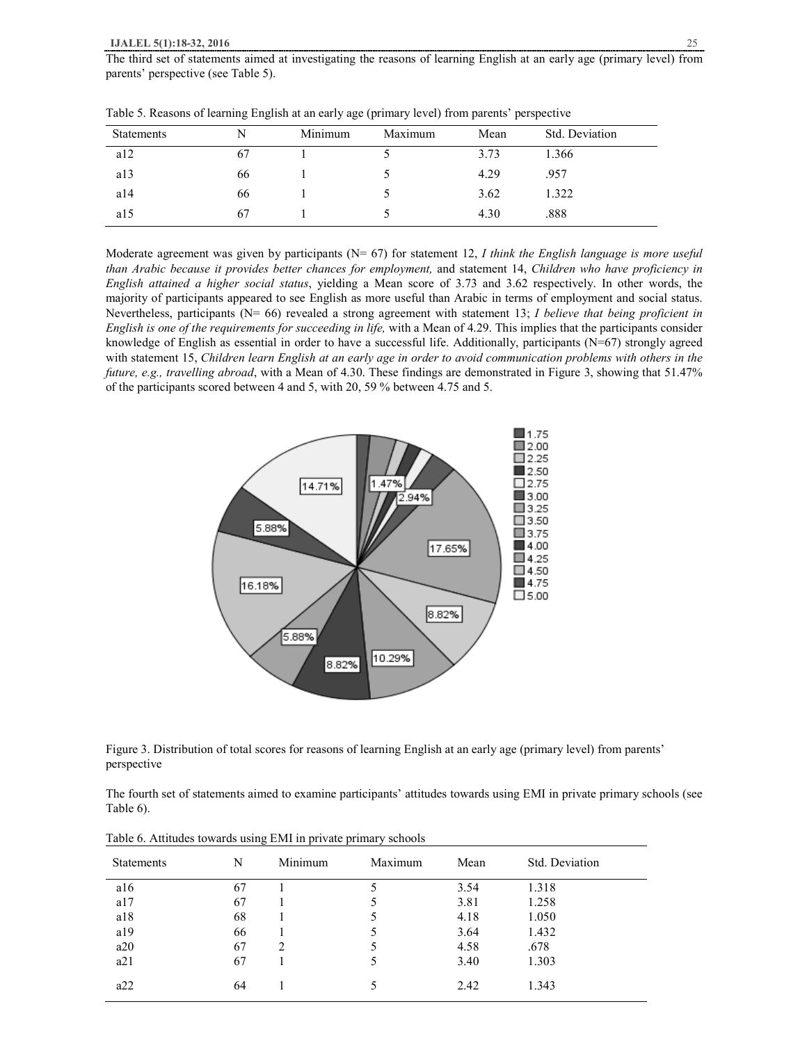| <b>Statements</b> |    | Minimum | Maximum | Mean | Std. Deviation |
|-------------------|----|---------|---------|------|----------------|
| a12               | 67 |         |         | 3.73 | 1.366          |
| a13               | 66 |         |         | 4.29 | .957           |
| a14               | 66 |         |         | 3.62 | 1.322          |
| a15               | 67 |         |         | 4.30 | .888           |

Table 5. Reasons of learning English at an early age (primary level) from parents' perspective

Moderate agreement was given by participants (N= 67) for statement 12, *I think the English language is more useful than Arabic because it provides better chances for employment,* and statement 14, *Children who have proficiency in English attained a higher social status*, yielding a Mean score of 3.73 and 3.62 respectively. In other words, the majority of participants appeared to see English as more useful than Arabic in terms of employment and social status. Nevertheless, participants (N= 66) revealed a strong agreement with statement 13; *I believe that being proficient in English is one of the requirements for succeeding in life,* with a Mean of 4.29. This implies that the participants consider knowledge of English as essential in order to have a successful life. Additionally, participants  $(N=67)$  strongly agreed with statement 15, Children learn English at an early age in order to avoid communication problems with others in the *future, e.g., travelling abroad*, with a Mean of 4.30. These findings are demonstrated in Figure 3, showing that 51.47% of the participants scored between 4 and 5, with 20, 59 % between 4.75 and 5.



Figure 3. Distribution of total scores for reasons of learning English at an early age (primary level) from parents' perspective

The fourth set of statements aimed to examine participants' attitudes towards using EMI in private primary schools (see Table 6).

| <b>Statements</b> | N  | Minimum | Maximum | Mean | Std. Deviation |
|-------------------|----|---------|---------|------|----------------|
| a16               | 67 |         | 5       | 3.54 | 1.318          |
| a17               | 67 |         |         | 3.81 | 1.258          |
| a18               | 68 |         | 5       | 4.18 | 1.050          |
| a19               | 66 |         |         | 3.64 | 1.432          |
| a20               | 67 | 2       | 5       | 4.58 | .678           |
| a21               | 67 |         | 5       | 3.40 | 1.303          |
| a22               | 64 |         | 5       | 2.42 | 1.343          |

Table 6. Attitudes towards using EMI in private primary schools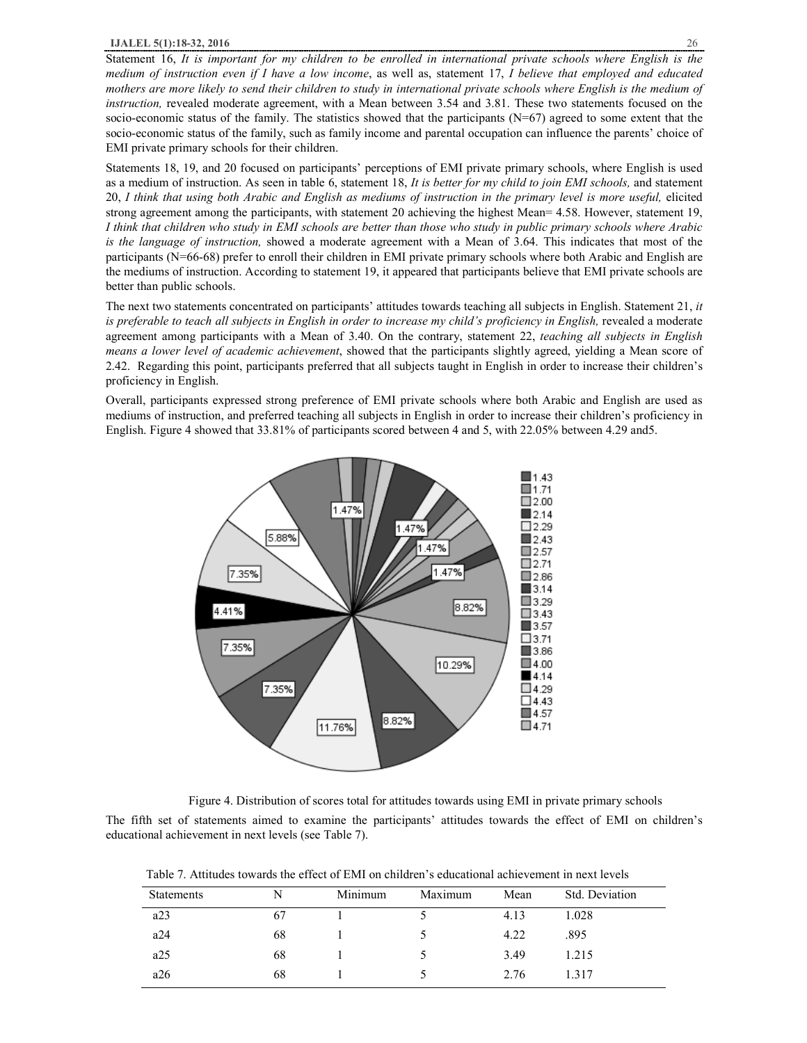Statement 16, It is important for my children to be enrolled in international private schools where English is the medium of instruction even if I have a low income, as well as, statement 17, I believe that employed and educated mothers are more likely to send their children to study in international private schools where English is the medium of *instruction,* revealed moderate agreement, with a Mean between 3.54 and 3.81. These two statements focused on the socio-economic status of the family. The statistics showed that the participants  $(N=67)$  agreed to some extent that the socio-economic status of the family, such as family income and parental occupation can influence the parents' choice of EMI private primary schools for their children.

Statements 18, 19, and 20 focused on participants' perceptions of EMI private primary schools, where English is used as a medium of instruction. As seen in table 6, statement 18, *It is better for my child to join EMI schools,* and statement 20, I think that using both Arabic and English as mediums of instruction in the primary level is more useful, elicited strong agreement among the participants, with statement 20 achieving the highest Mean= 4.58. However, statement 19, I think that children who study in EMI schools are better than those who study in public primary schools where Arabic *is the language of instruction,* showed a moderate agreement with a Mean of 3.64. This indicates that most of the participants (N=66-68) prefer to enroll their children in EMI private primary schools where both Arabic and English are the mediums of instruction. According to statement 19, it appeared that participants believe that EMI private schools are better than public schools.

The next two statements concentrated on participants' attitudes towards teaching all subjects in English. Statement 21, *it is preferable to teach all subjects in English in order to increase my child's proficiency in English,* revealed a moderate agreement among participants with a Mean of 3.40. On the contrary, statement 22, *teaching all subjects in English means a lower level of academic achievement*, showed that the participants slightly agreed, yielding a Mean score of 2.42. Regarding this point, participants preferred that all subjects taught in English in order to increase their children's proficiency in English.

Overall, participants expressed strong preference of EMI private schools where both Arabic and English are used as mediums of instruction, and preferred teaching all subjects in English in order to increase their children's proficiency in English. Figure 4 showed that 33.81% of participants scored between 4 and 5, with 22.05% between 4.29 and5.



Figure 4. Distribution of scores total for attitudes towards using EMI in private primary schools

The fifth set of statements aimed to examine the participants' attitudes towards the effect of EMI on children's educational achievement in next levels (see Table 7).

|  |  |  |  | Table 7. Attitudes towards the effect of EMI on children's educational achievement in next levels |
|--|--|--|--|---------------------------------------------------------------------------------------------------|
|  |  |  |  |                                                                                                   |

| <b>Statements</b> | N  | Minimum | Maximum | Mean | Std. Deviation |
|-------------------|----|---------|---------|------|----------------|
| a23               | 67 |         |         | 4.13 | 1.028          |
| a24               | 68 |         |         | 4.22 | .895           |
| a25               | 68 |         |         | 3.49 | 1.215          |
| a26               | 68 |         |         | 2.76 | 1.317          |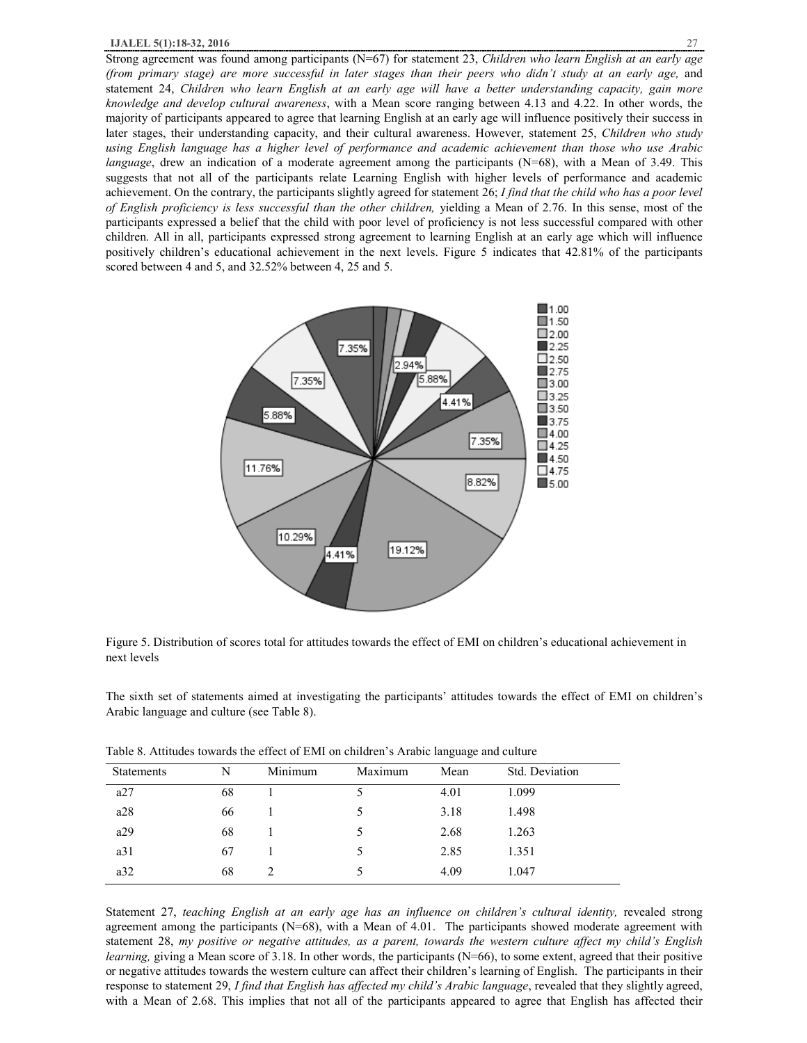Strong agreement was found among participants (N=67) for statement 23, *Children who learn English at an early age*  (from primary stage) are more successful in later stages than their peers who didn't study at an early age, and statement 24, *Children who learn English at an early age will have a better understanding capacity, gain more knowledge and develop cultural awareness*, with a Mean score ranging between 4.13 and 4.22. In other words, the majority of participants appeared to agree that learning English at an early age will influence positively their success in later stages, their understanding capacity, and their cultural awareness. However, statement 25, *Children who study*  using English language has a higher level of performance and academic achievement than those who use Arabic *language*, drew an indication of a moderate agreement among the participants (N=68), with a Mean of 3.49. This suggests that not all of the participants relate Learning English with higher levels of performance and academic achievement. On the contrary, the participants slightly agreed for statement 26; *I find that the child who has a poor level of English proficiency is less successful than the other children,* yielding a Mean of 2.76. In this sense, most of the participants expressed a belief that the child with poor level of proficiency is not less successful compared with other children. All in all, participants expressed strong agreement to learning English at an early age which will influence positively children's educational achievement in the next levels. Figure 5 indicates that 42.81% of the participants scored between 4 and 5, and 32.52% between 4, 25 and 5.



Figure 5. Distribution of scores total for attitudes towards the effect of EMI on children's educational achievement in next levels

The sixth set of statements aimed at investigating the participants' attitudes towards the effect of EMI on children's Arabic language and culture (see Table 8).

| <b>Statements</b> | N  | Minimum | Maximum | Mean | Std. Deviation |
|-------------------|----|---------|---------|------|----------------|
| a27               | 68 |         |         | 4.01 | 1.099          |
| a28               | 66 |         | C.      | 3.18 | 1.498          |
| a29               | 68 |         | 5       | 2.68 | 1.263          |
| a31               | 67 |         | 5       | 2.85 | 1.351          |
| a32               | 68 |         | ć       | 4.09 | 1.047          |

Table 8. Attitudes towards the effect of EMI on children's Arabic language and culture

Statement 27, *teaching English at an early age has an influence on children's cultural identity,* revealed strong agreement among the participants (N=68), with a Mean of 4.01. The participants showed moderate agreement with statement 28, my positive or negative attitudes, as a parent, towards the western culture affect my child's English *learning*, giving a Mean score of 3.18. In other words, the participants (N=66), to some extent, agreed that their positive or negative attitudes towards the western culture can affect their children's learning of English. The participants in their response to statement 29, *I find that English has affected my child's Arabic language*, revealed that they slightly agreed, with a Mean of 2.68. This implies that not all of the participants appeared to agree that English has affected their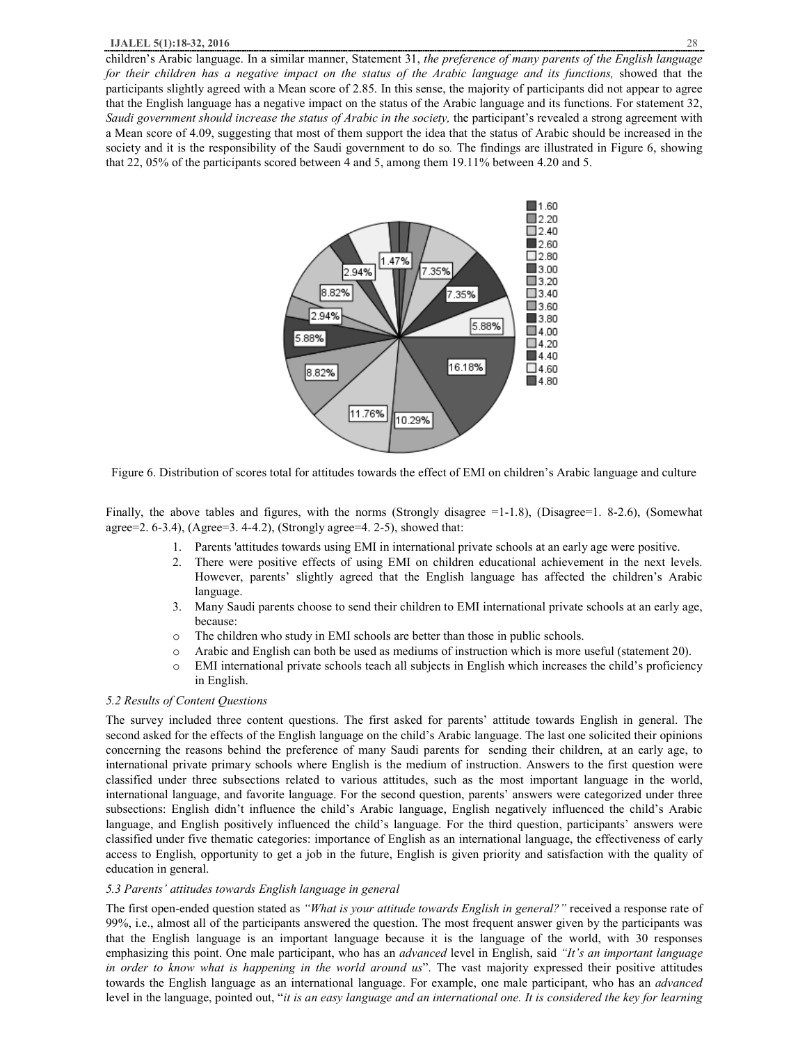children's Arabic language. In a similar manner, Statement 31, *the preference of many parents of the English language*  for their children has a negative impact on the status of the Arabic language and its functions, showed that the participants slightly agreed with a Mean score of 2.85. In this sense, the majority of participants did not appear to agree that the English language has a negative impact on the status of the Arabic language and its functions. For statement 32, *Saudi government should increase the status of Arabic in the society,* the participant's revealed a strong agreement with a Mean score of 4.09, suggesting that most of them support the idea that the status of Arabic should be increased in the society and it is the responsibility of the Saudi government to do so*.* The findings are illustrated in Figure 6, showing that 22, 05% of the participants scored between 4 and 5, among them 19.11% between 4.20 and 5.



Figure 6. Distribution of scores total for attitudes towards the effect of EMI on children's Arabic language and culture

Finally, the above tables and figures, with the norms (Strongly disagree =1-1.8), (Disagree=1. 8-2.6), (Somewhat agree=2. 6-3.4), (Agree=3. 4-4.2), (Strongly agree=4. 2-5), showed that:

- 1. Parents 'attitudes towards using EMI in international private schools at an early age were positive.
- 2. There were positive effects of using EMI on children educational achievement in the next levels. However, parents' slightly agreed that the English language has affected the children's Arabic language.
- 3. Many Saudi parents choose to send their children to EMI international private schools at an early age, because:
- o The children who study in EMI schools are better than those in public schools.
- o Arabic and English can both be used as mediums of instruction which is more useful (statement 20).
- o EMI international private schools teach all subjects in English which increases the child's proficiency in English.

## *5.2 Results of Content Questions*

The survey included three content questions. The first asked for parents' attitude towards English in general. The second asked for the effects of the English language on the child's Arabic language. The last one solicited their opinions concerning the reasons behind the preference of many Saudi parents for sending their children, at an early age, to international private primary schools where English is the medium of instruction. Answers to the first question were classified under three subsections related to various attitudes, such as the most important language in the world, international language, and favorite language. For the second question, parents' answers were categorized under three subsections: English didn't influence the child's Arabic language, English negatively influenced the child's Arabic language, and English positively influenced the child's language. For the third question, participants' answers were classified under five thematic categories: importance of English as an international language, the effectiveness of early access to English, opportunity to get a job in the future, English is given priority and satisfaction with the quality of education in general.

## *5.3 Parents' attitudes towards English language in general*

The first open-ended question stated as *"What is your attitude towards English in general?"* received a response rate of 99%, i.e., almost all of the participants answered the question. The most frequent answer given by the participants was that the English language is an important language because it is the language of the world, with 30 responses emphasizing this point. One male participant, who has an *advanced* level in English, said *"It's an important language in order to know what is happening in the world around us*". The vast majority expressed their positive attitudes towards the English language as an international language. For example, one male participant, who has an *advanced*  level in the language, pointed out, "it is an easy language and an international one. It is considered the key for learning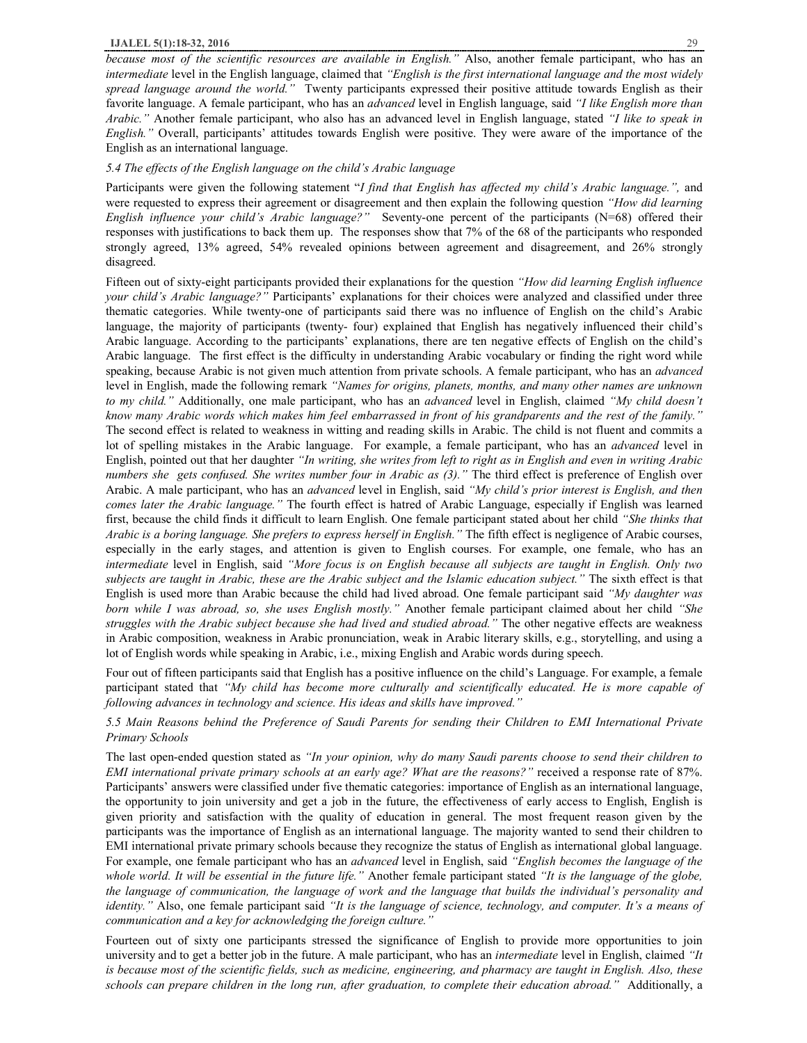*because most of the scientific resources are available in English."* Also, another female participant, who has an *intermediate* level in the English language, claimed that *"English is the first international language and the most widely spread language around the world."* Twenty participants expressed their positive attitude towards English as their favorite language. A female participant, who has an *advanced* level in English language, said *"I like English more than Arabic."* Another female participant, who also has an advanced level in English language, stated *"I like to speak in English."* Overall, participants' attitudes towards English were positive. They were aware of the importance of the English as an international language.

#### *5.4 The effects of the English language on the child's Arabic language*

Participants were given the following statement "*I find that English has affected my child's Arabic language.",* and were requested to express their agreement or disagreement and then explain the following question *"How did learning English influence your child's Arabic language?"* Seventy-one percent of the participants (N=68) offered their responses with justifications to back them up. The responses show that 7% of the 68 of the participants who responded strongly agreed, 13% agreed, 54% revealed opinions between agreement and disagreement, and 26% strongly disagreed.

Fifteen out of sixty-eight participants provided their explanations for the question *"How did learning English influence your child's Arabic language?"* Participants' explanations for their choices were analyzed and classified under three thematic categories. While twenty-one of participants said there was no influence of English on the child's Arabic language, the majority of participants (twenty- four) explained that English has negatively influenced their child's Arabic language. According to the participants' explanations, there are ten negative effects of English on the child's Arabic language. The first effect is the difficulty in understanding Arabic vocabulary or finding the right word while speaking, because Arabic is not given much attention from private schools. A female participant, who has an *advanced* level in English, made the following remark *"Names for origins, planets, months, and many other names are unknown to my child."* Additionally, one male participant, who has an *advanced* level in English, claimed *"My child doesn't*  know many Arabic words which makes him feel embarrassed in front of his grandparents and the rest of the family." The second effect is related to weakness in witting and reading skills in Arabic. The child is not fluent and commits a lot of spelling mistakes in the Arabic language. For example, a female participant, who has an *advanced* level in English, pointed out that her daughter "In writing, she writes from left to right as in English and even in writing Arabic *numbers she gets confused. She writes number four in Arabic as (3)."* The third effect is preference of English over Arabic. A male participant, who has an *advanced* level in English, said *"My child's prior interest is English, and then comes later the Arabic language."* The fourth effect is hatred of Arabic Language, especially if English was learned first, because the child finds it difficult to learn English. One female participant stated about her child *"She thinks that Arabic is a boring language. She prefers to express herself in English."* The fifth effect is negligence of Arabic courses, especially in the early stages, and attention is given to English courses. For example, one female, who has an *intermediate* level in English, said *"More focus is on English because all subjects are taught in English. Only two*  subjects are taught in Arabic, these are the Arabic subject and the Islamic education subject." The sixth effect is that English is used more than Arabic because the child had lived abroad. One female participant said *"My daughter was born while I was abroad, so, she uses English mostly."* Another female participant claimed about her child *"She struggles with the Arabic subject because she had lived and studied abroad."* The other negative effects are weakness in Arabic composition, weakness in Arabic pronunciation, weak in Arabic literary skills, e.g., storytelling, and using a lot of English words while speaking in Arabic, i.e., mixing English and Arabic words during speech.

Four out of fifteen participants said that English has a positive influence on the child's Language. For example, a female participant stated that *"My child has become more culturally and scientifically educated. He is more capable of following advances in technology and science. His ideas and skills have improved."*

5.5 Main Reasons behind the Preference of Saudi Parents for sending their Children to EMI International Private *Primary Schools* 

The last open-ended question stated as *"In your opinion, why do many Saudi parents choose to send their children to EMI international private primary schools at an early age? What are the reasons?"* received a response rate of 87%. Participants' answers were classified under five thematic categories: importance of English as an international language, the opportunity to join university and get a job in the future, the effectiveness of early access to English, English is given priority and satisfaction with the quality of education in general. The most frequent reason given by the participants was the importance of English as an international language. The majority wanted to send their children to EMI international private primary schools because they recognize the status of English as international global language. For example, one female participant who has an *advanced* level in English, said *"English becomes the language of the*  whole world. It will be essential in the future life." Another female participant stated "It is the language of the globe, the language of communication, the language of work and the language that builds the individual's personality and *identity."* Also, one female participant said *"It is the language of science, technology, and computer. It's a means of communication and a key for acknowledging the foreign culture."* 

Fourteen out of sixty one participants stressed the significance of English to provide more opportunities to join university and to get a better job in the future. A male participant, who has an *intermediate* level in English, claimed *"It*  is because most of the scientific fields, such as medicine, engineering, and pharmacy are taught in English. Also, these *schools can prepare children in the long run, after graduation, to complete their education abroad."* Additionally, a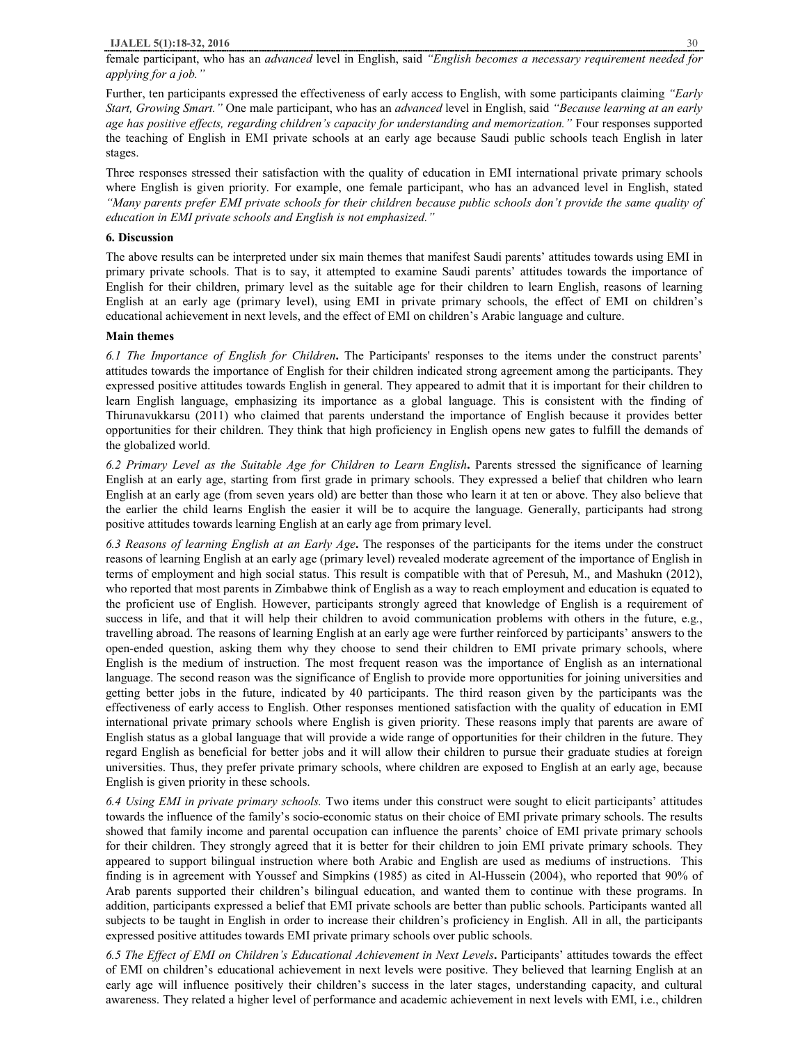female participant, who has an *advanced* level in English, said *"English becomes a necessary requirement needed for applying for a job."* 

Further, ten participants expressed the effectiveness of early access to English, with some participants claiming *"Early Start, Growing Smart."* One male participant, who has an *advanced* level in English, said *"Because learning at an early age has positive effects, regarding children's capacity for understanding and memorization."* Four responses supported the teaching of English in EMI private schools at an early age because Saudi public schools teach English in later stages.

Three responses stressed their satisfaction with the quality of education in EMI international private primary schools where English is given priority. For example, one female participant, who has an advanced level in English, stated "Many parents prefer EMI private schools for their children because public schools don't provide the same quality of *education in EMI private schools and English is not emphasized."*

# **6. Discussion**

The above results can be interpreted under six main themes that manifest Saudi parents' attitudes towards using EMI in primary private schools. That is to say, it attempted to examine Saudi parents' attitudes towards the importance of English for their children, primary level as the suitable age for their children to learn English, reasons of learning English at an early age (primary level), using EMI in private primary schools, the effect of EMI on children's educational achievement in next levels, and the effect of EMI on children's Arabic language and culture.

## **Main themes**

*6.1 The Importance of English for Children***.** The Participants' responses to the items under the construct parents' attitudes towards the importance of English for their children indicated strong agreement among the participants. They expressed positive attitudes towards English in general. They appeared to admit that it is important for their children to learn English language, emphasizing its importance as a global language. This is consistent with the finding of Thirunavukkarsu (2011) who claimed that parents understand the importance of English because it provides better opportunities for their children. They think that high proficiency in English opens new gates to fulfill the demands of the globalized world.

*6.2 Primary Level as the Suitable Age for Children to Learn English***.** Parents stressed the significance of learning English at an early age, starting from first grade in primary schools. They expressed a belief that children who learn English at an early age (from seven years old) are better than those who learn it at ten or above. They also believe that the earlier the child learns English the easier it will be to acquire the language. Generally, participants had strong positive attitudes towards learning English at an early age from primary level.

*6.3 Reasons of learning English at an Early Age***.** The responses of the participants for the items under the construct reasons of learning English at an early age (primary level) revealed moderate agreement of the importance of English in terms of employment and high social status. This result is compatible with that of Peresuh, M., and Mashukn (2012), who reported that most parents in Zimbabwe think of English as a way to reach employment and education is equated to the proficient use of English. However, participants strongly agreed that knowledge of English is a requirement of success in life, and that it will help their children to avoid communication problems with others in the future, e.g., travelling abroad. The reasons of learning English at an early age were further reinforced by participants' answers to the open-ended question, asking them why they choose to send their children to EMI private primary schools, where English is the medium of instruction. The most frequent reason was the importance of English as an international language. The second reason was the significance of English to provide more opportunities for joining universities and getting better jobs in the future, indicated by 40 participants. The third reason given by the participants was the effectiveness of early access to English. Other responses mentioned satisfaction with the quality of education in EMI international private primary schools where English is given priority. These reasons imply that parents are aware of English status as a global language that will provide a wide range of opportunities for their children in the future. They regard English as beneficial for better jobs and it will allow their children to pursue their graduate studies at foreign universities. Thus, they prefer private primary schools, where children are exposed to English at an early age, because English is given priority in these schools.

*6.4 Using EMI in private primary schools.* Two items under this construct were sought to elicit participants' attitudes towards the influence of the family's socio-economic status on their choice of EMI private primary schools. The results showed that family income and parental occupation can influence the parents' choice of EMI private primary schools for their children. They strongly agreed that it is better for their children to join EMI private primary schools. They appeared to support bilingual instruction where both Arabic and English are used as mediums of instructions. This finding is in agreement with Youssef and Simpkins (1985) as cited in Al-Hussein (2004), who reported that 90% of Arab parents supported their children's bilingual education, and wanted them to continue with these programs. In addition, participants expressed a belief that EMI private schools are better than public schools. Participants wanted all subjects to be taught in English in order to increase their children's proficiency in English. All in all, the participants expressed positive attitudes towards EMI private primary schools over public schools.

*6.5 The Effect of EMI on Children's Educational Achievement in Next Levels***.** Participants' attitudes towards the effect of EMI on children's educational achievement in next levels were positive. They believed that learning English at an early age will influence positively their children's success in the later stages, understanding capacity, and cultural awareness. They related a higher level of performance and academic achievement in next levels with EMI, i.e., children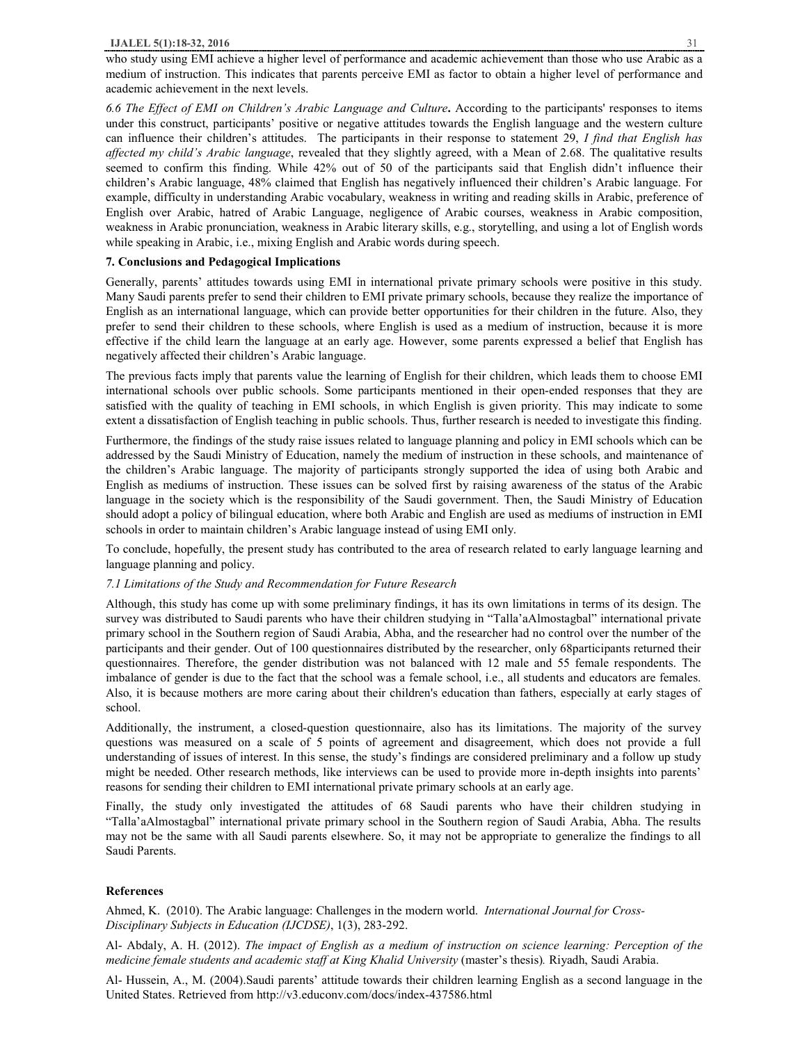who study using EMI achieve a higher level of performance and academic achievement than those who use Arabic as a medium of instruction. This indicates that parents perceive EMI as factor to obtain a higher level of performance and academic achievement in the next levels.

*6.6 The Effect of EMI on Children's Arabic Language and Culture***.** According to the participants' responses to items under this construct, participants' positive or negative attitudes towards the English language and the western culture can influence their children's attitudes. The participants in their response to statement 29, *I find that English has affected my child's Arabic language*, revealed that they slightly agreed, with a Mean of 2.68. The qualitative results seemed to confirm this finding. While 42% out of 50 of the participants said that English didn't influence their children's Arabic language, 48% claimed that English has negatively influenced their children's Arabic language. For example, difficulty in understanding Arabic vocabulary, weakness in writing and reading skills in Arabic, preference of English over Arabic, hatred of Arabic Language, negligence of Arabic courses, weakness in Arabic composition, weakness in Arabic pronunciation, weakness in Arabic literary skills, e.g., storytelling, and using a lot of English words while speaking in Arabic, i.e., mixing English and Arabic words during speech.

## **7. Conclusions and Pedagogical Implications**

Generally, parents' attitudes towards using EMI in international private primary schools were positive in this study. Many Saudi parents prefer to send their children to EMI private primary schools, because they realize the importance of English as an international language, which can provide better opportunities for their children in the future. Also, they prefer to send their children to these schools, where English is used as a medium of instruction, because it is more effective if the child learn the language at an early age. However, some parents expressed a belief that English has negatively affected their children's Arabic language.

The previous facts imply that parents value the learning of English for their children, which leads them to choose EMI international schools over public schools. Some participants mentioned in their open-ended responses that they are satisfied with the quality of teaching in EMI schools, in which English is given priority. This may indicate to some extent a dissatisfaction of English teaching in public schools. Thus, further research is needed to investigate this finding.

Furthermore, the findings of the study raise issues related to language planning and policy in EMI schools which can be addressed by the Saudi Ministry of Education, namely the medium of instruction in these schools, and maintenance of the children's Arabic language. The majority of participants strongly supported the idea of using both Arabic and English as mediums of instruction. These issues can be solved first by raising awareness of the status of the Arabic language in the society which is the responsibility of the Saudi government. Then, the Saudi Ministry of Education should adopt a policy of bilingual education, where both Arabic and English are used as mediums of instruction in EMI schools in order to maintain children's Arabic language instead of using EMI only.

To conclude, hopefully, the present study has contributed to the area of research related to early language learning and language planning and policy.

# *7.1 Limitations of the Study and Recommendation for Future Research*

Although, this study has come up with some preliminary findings, it has its own limitations in terms of its design. The survey was distributed to Saudi parents who have their children studying in "Talla'aAlmostagbal" international private primary school in the Southern region of Saudi Arabia, Abha, and the researcher had no control over the number of the participants and their gender. Out of 100 questionnaires distributed by the researcher, only 68participants returned their questionnaires. Therefore, the gender distribution was not balanced with 12 male and 55 female respondents. The imbalance of gender is due to the fact that the school was a female school, i.e., all students and educators are females. Also, it is because mothers are more caring about their children's education than fathers, especially at early stages of school.

Additionally, the instrument, a closed-question questionnaire, also has its limitations. The majority of the survey questions was measured on a scale of 5 points of agreement and disagreement, which does not provide a full understanding of issues of interest. In this sense, the study's findings are considered preliminary and a follow up study might be needed. Other research methods, like interviews can be used to provide more in-depth insights into parents' reasons for sending their children to EMI international private primary schools at an early age.

Finally, the study only investigated the attitudes of 68 Saudi parents who have their children studying in "Talla'aAlmostagbal" international private primary school in the Southern region of Saudi Arabia, Abha. The results may not be the same with all Saudi parents elsewhere. So, it may not be appropriate to generalize the findings to all Saudi Parents.

## **References**

Ahmed, K. (2010). The Arabic language: Challenges in the modern world. *International Journal for Cross-Disciplinary Subjects in Education (IJCDSE)*, 1(3), 283-292.

Al- Abdaly, A. H. (2012). *The impact of English as a medium of instruction on science learning: Perception of the medicine female students and academic staff at King Khalid University* (master's thesis)*.* Riyadh, Saudi Arabia.

Al- Hussein, A., M. (2004).Saudi parents' attitude towards their children learning English as a second language in the United States. Retrieved from http://v3.educonv.com/docs/index-437586.html